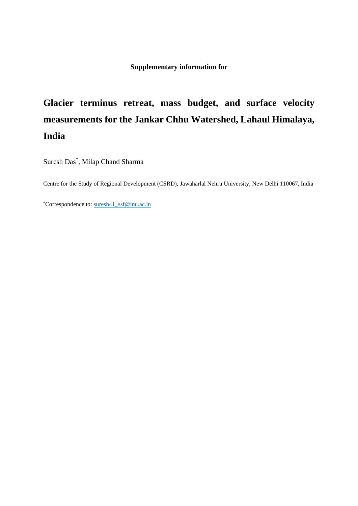**Supplementary information for**

## **Glacier terminus retreat, mass budget, and surface velocity measurements for the Jankar Chhu Watershed, Lahaul Himalaya, India**

Suresh Das\* , Milap Chand Sharma

Centre for the Study of Regional Development (CSRD), Jawaharlal Nehru University, New Delhi 110067, India

\*Correspondence to: [suresh41\\_ssf@jnu.ac.in](mailto:suresh41_ssf@jnu.ac.in)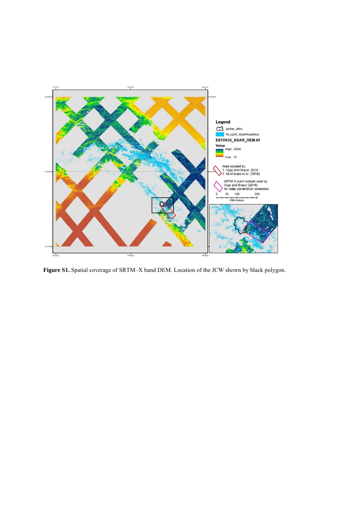

Figure S1. Spatial coverage of SRTM-X band DEM. Location of the JCW shown by black polygon.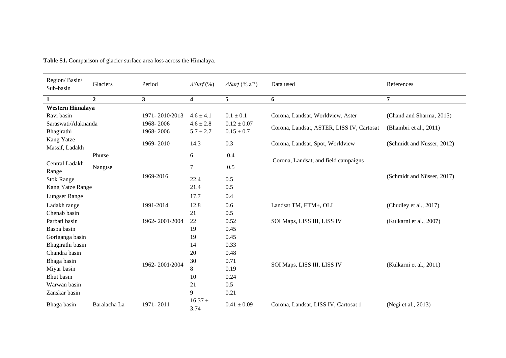| Region/Basin/<br>Sub-basin   | Glaciers       | Period                  | $\triangle Surf$ (%)    | $\triangle Surf$ (% a <sup>-1</sup> ) | Data used                                 | References                 |  |  |
|------------------------------|----------------|-------------------------|-------------------------|---------------------------------------|-------------------------------------------|----------------------------|--|--|
| 1                            | $\overline{2}$ | $\overline{\mathbf{3}}$ | $\overline{\mathbf{4}}$ | 5                                     | 6                                         | 7                          |  |  |
| Western Himalaya             |                |                         |                         |                                       |                                           |                            |  |  |
| Ravi basin                   |                | 1971-2010/2013          | $4.6 \pm 4.1$           | $0.1 \pm 0.1$                         | Corona, Landsat, Worldview, Aster         | (Chand and Sharma, 2015)   |  |  |
| Saraswati/Alaknanda          |                | 1968-2006               | $4.6 \pm 2.8$           | $0.12 \pm 0.07$                       |                                           |                            |  |  |
| Bhagirathi                   |                | 1968-2006               | $5.7 \pm 2.7$           | $0.15 \pm 0.7$                        | Corona, Landsat, ASTER, LISS IV, Cartosat | (Bhambri et al., 2011)     |  |  |
| Kang Yatze<br>Massif, Ladakh |                |                         | 14.3                    | 0.3                                   | Corona, Landsat, Spot, Worldview          | (Schmidt and Nüsser, 2012) |  |  |
|                              | Phutse         |                         | 6                       | 0.4                                   |                                           |                            |  |  |
| Central Ladakh<br>Range      | Nangtse        |                         | 7                       | 0.5                                   | Corona, Landsat, and field campaigns      |                            |  |  |
| <b>Stok Range</b>            |                | 1969-2016               | 22.4                    | 0.5                                   |                                           | (Schmidt and Nüsser, 2017) |  |  |
| Kang Yatze Range             |                |                         | 21.4                    | 0.5                                   |                                           |                            |  |  |
| Lungser Range                |                |                         | 17.7                    | 0.4                                   |                                           |                            |  |  |
| Ladakh range                 |                | 1991-2014               | 12.8                    | 0.6                                   | Landsat TM, ETM+, OLI                     | (Chudley et al., 2017)     |  |  |
| Chenab basin                 |                |                         | 21                      | 0.5                                   |                                           |                            |  |  |
| Parbati basin                |                | 1962-2001/2004          | 22                      | 0.52                                  | SOI Maps, LISS III, LISS IV               | (Kulkarni et al., 2007)    |  |  |
| Baspa basin                  |                |                         | 19                      | 0.45                                  |                                           |                            |  |  |
| Goriganga basin              |                |                         | 19                      | 0.45                                  |                                           |                            |  |  |
| Bhagirathi basin             |                |                         | 14                      | 0.33                                  |                                           |                            |  |  |
| Chandra basin                |                |                         | 20                      | 0.48                                  |                                           |                            |  |  |
| Bhaga basin                  |                | 1962-2001/2004          | 30                      | 0.71                                  | SOI Maps, LISS III, LISS IV               | (Kulkarni et al., 2011)    |  |  |
| Miyar basin                  |                |                         | 8                       | 0.19                                  |                                           |                            |  |  |
| Bhut basin                   |                |                         | 10                      | 0.24                                  |                                           |                            |  |  |
| Warwan basin                 |                |                         | 21                      | 0.5                                   |                                           |                            |  |  |
| Zanskar basin                |                |                         | 9                       | 0.21                                  |                                           |                            |  |  |
| Bhaga basin                  | Baralacha La   | 1971-2011               | $16.37 \pm$<br>3.74     | $0.41 \pm 0.09$                       | Corona, Landsat, LISS IV, Cartosat 1      | (Negi et al., 2013)        |  |  |

**Table S1.** Comparison of glacier surface area loss across the Himalaya.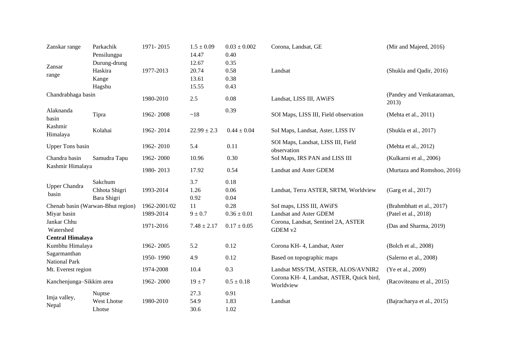| Zanskar range                 | Parkachik<br>Pensilungpa                   | 1971-2015                 | $1.5 \pm 0.09$<br>14.47          | $0.03 \pm 0.002$<br>0.40     | Corona, Landsat, GE                                    | (Mir and Majeed, 2016)                            |
|-------------------------------|--------------------------------------------|---------------------------|----------------------------------|------------------------------|--------------------------------------------------------|---------------------------------------------------|
| Zansar<br>range               | Durung-drung<br>Haskira<br>Kange<br>Hagshu | 1977-2013                 | 12.67<br>20.74<br>13.61<br>15.55 | 0.35<br>0.58<br>0.38<br>0.43 | Landsat                                                | (Shukla and Qadir, 2016)                          |
| Chandrabhaga basin            |                                            | 1980-2010                 | $2.5$                            | 0.08                         | Landsat, LISS III, AWiFS                               | (Pandey and Venkataraman,<br>2013)                |
| Alaknanda<br>basin            | Tipra                                      | 1962-2008                 | ~18                              | 0.39                         | SOI Maps, LISS III, Field observation                  | (Mehta et al., 2011)                              |
| Kashmir<br>Himalaya           | Kolahai                                    | 1962-2014                 | $22.99 \pm 2.3$                  | $0.44 \pm 0.04$              | SoI Maps, Landsat, Aster, LISS IV                      | (Shukla et al., 2017)                             |
| <b>Upper Tons basin</b>       |                                            | 1962-2010                 | 5.4                              | 0.11                         | SOI Maps, Landsat, LISS III, Field<br>observation      | (Mehta et al., 2012)                              |
| Chandra basin                 | Samudra Tapu                               | 1962-2000                 | 10.96                            | 0.30                         | SoI Maps, IRS PAN and LISS III                         | (Kulkarni et al., 2006)                           |
| Kashmir Himalaya              |                                            | 1980-2013                 | 17.92                            | 0.54                         | <b>Landsat and Aster GDEM</b>                          | (Murtaza and Romshoo, 2016)                       |
| <b>Upper Chandra</b><br>basin | Sakchum<br>Chhota Shigri<br>Bara Shigri    | 1993-2014                 | 3.7<br>1.26<br>0.92              | 0.18<br>0.06<br>0.04         | Landsat, Terra ASTER, SRTM, Worldview                  | (Garg et al., 2017)                               |
| Miyar basin                   | Chenab basin (Warwan-Bhut region)          | 1962-2001/02<br>1989-2014 | 11<br>$9 \pm 0.7$                | 0.28<br>$0.36 \pm 0.01$      | SoI maps, LISS III, AWiFS<br>Landsat and Aster GDEM    | (Brahmbhatt et al., 2017)<br>(Patel et al., 2018) |
| Jankar Chhu<br>Watershed      |                                            | 1971-2016                 | $7.48 \pm 2.17$                  | $0.17 \pm 0.05$              | Corona, Landsat, Sentinel 2A, ASTER<br>GDEM v2         | (Das and Sharma, 2019)                            |
| <b>Central Himalaya</b>       |                                            |                           |                                  |                              |                                                        |                                                   |
| Kumbhu Himalaya               |                                            | 1962-2005                 | 5.2                              | 0.12                         | Corona KH- 4, Landsat, Aster                           | (Bolch et al., 2008)                              |
| Sagarmanthan<br>National Park |                                            | 1950-1990                 | 4.9                              | 0.12                         | Based on topographic maps                              | (Salerno et al., 2008)                            |
| Mt. Everest region            |                                            | 1974-2008                 | 10.4                             | 0.3                          | Landsat MSS/TM, ASTER, ALOS/AVNIR2                     | (Ye et al., 2009)                                 |
| Kanchenjunga-Sikkim area      |                                            | 1962-2000                 | $19 \pm 7$                       | $0.5 \pm 0.18$               | Corona KH- 4, Landsat, ASTER, Quick bird,<br>Worldview | (Racoviteanu et al., 2015)                        |
| Imja valley,                  | Nuptse                                     |                           | 27.3                             | 0.91                         |                                                        |                                                   |
| Nepal                         | <b>West Lhotse</b><br>Lhotse               | 1980-2010                 | 54.9<br>30.6                     | 1.83<br>1.02                 | Landsat                                                | (Bajracharya et al., 2015)                        |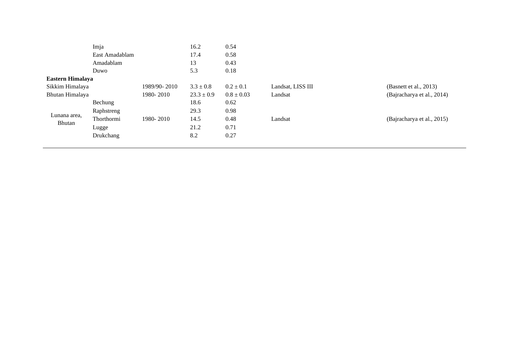|                  | Imja             |              | 16.2           | 0.54           |                   |                            |
|------------------|------------------|--------------|----------------|----------------|-------------------|----------------------------|
|                  | East Amadablam   |              | 17.4           | 0.58           |                   |                            |
|                  | Amadablam        |              | 13             | 0.43           |                   |                            |
|                  | Duwo             |              | 5.3            | 0.18           |                   |                            |
| Eastern Himalaya |                  |              |                |                |                   |                            |
| Sikkim Himalaya  |                  | 1989/90-2010 | $3.3 \pm 0.8$  | $0.2 \pm 0.1$  | Landsat, LISS III | (Basnett et al., $2013$ )  |
| Bhutan Himalaya  |                  | 1980-2010    | $23.3 \pm 0.9$ | $0.8 \pm 0.03$ | Landsat           | (Bajracharya et al., 2014) |
|                  | Bechung          |              | 18.6           | 0.62           |                   |                            |
|                  | Raphstreng       |              | 29.3           | 0.98           |                   |                            |
| Lunana area,     | Thorthormi       | 1980-2010    | 14.5           | 0.48           | Landsat           | (Bajracharya et al., 2015) |
| Bhutan           | Lugge            |              | 21.2           | 0.71           |                   |                            |
|                  | <b>Drukchang</b> |              | 8.2            | 0.27           |                   |                            |
|                  |                  |              |                |                |                   |                            |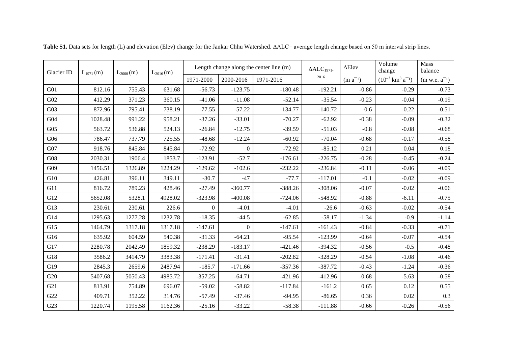| Glacier ID | $L_{1971}(m)$ | $L_{2000}$ (m) | $L_{2016}(m)$ |           |                  | Length change along the center line (m) | $\triangle$ ALC <sub>1971</sub> . | $\Delta$ Elev | Volume<br>change                             | <b>Mass</b><br>balance |
|------------|---------------|----------------|---------------|-----------|------------------|-----------------------------------------|-----------------------------------|---------------|----------------------------------------------|------------------------|
|            |               |                |               | 1971-2000 | 2000-2016        | 1971-2016                               | 2016                              | $(m a^{-1})$  | $(10^{-3}$ km <sup>3</sup> a <sup>-1</sup> ) | $(m w.e. a^{-1})$      |
| G01        | 812.16        | 755.43         | 631.68        | $-56.73$  | $-123.75$        | $-180.48$                               | $-192.21$<br>$-0.29$<br>$-0.86$   |               | $-0.73$                                      |                        |
| G02        | 412.29        | 371.23         | 360.15        | $-41.06$  | $-11.08$         | $-52.14$                                | $-35.54$                          | $-0.23$       | $-0.04$                                      | $-0.19$                |
| G03        | 872.96        | 795.41         | 738.19        | $-77.55$  | $-57.22$         | $-134.77$                               | $-140.72$                         | $-0.6$        | $-0.22$                                      | $-0.51$                |
| G04        | 1028.48       | 991.22         | 958.21        | $-37.26$  | $-33.01$         | $-70.27$                                | $-62.92$                          | $-0.38$       | $-0.09$                                      | $-0.32$                |
| G05        | 563.72        | 536.88         | 524.13        | $-26.84$  | $-12.75$         | $-39.59$                                | $-51.03$                          | $-0.8$        | $-0.08$                                      | $-0.68$                |
| G06        | 786.47        | 737.79         | 725.55        | $-48.68$  | $-12.24$         | $-60.92$                                | $-70.04$                          | $-0.68$       | $-0.17$                                      | $-0.58$                |
| G07        | 918.76        | 845.84         | 845.84        | $-72.92$  | $\mathbf{0}$     | $-72.92$                                | $-85.12$                          | 0.21          | 0.04                                         | 0.18                   |
| G08        | 2030.31       | 1906.4         | 1853.7        | $-123.91$ | $-52.7$          | $-176.61$                               | $-226.75$                         | $-0.28$       | $-0.45$                                      | $-0.24$                |
| G09        | 1456.51       | 1326.89        | 1224.29       | $-129.62$ | $-102.6$         | $-232.22$                               | $-236.84$                         | $-0.11$       | $-0.06$                                      | $-0.09$                |
| G10        | 426.81        | 396.11         | 349.11        | $-30.7$   | $-47$            | $-77.7$                                 | $-117.01$                         | $-0.1$        | $-0.02$                                      | $-0.09$                |
| G11        | 816.72        | 789.23         | 428.46        | $-27.49$  | $-360.77$        | $-388.26$                               | $-308.06$                         | $-0.07$       | $-0.02$                                      | $-0.06$                |
| G12        | 5652.08       | 5328.1         | 4928.02       | $-323.98$ | $-400.08$        | $-724.06$                               | $-548.92$                         | $-0.88$       | $-6.11$                                      | $-0.75$                |
| G13        | 230.61        | 230.61         | 226.6         | 0         | $-4.01$          | $-4.01$                                 | $-26.6$                           | $-0.63$       | $-0.02$                                      | $-0.54$                |
| G14        | 1295.63       | 1277.28        | 1232.78       | $-18.35$  | $-44.5$          | $-62.85$                                | $-58.17$                          | $-1.34$       | $-0.9$                                       | $-1.14$                |
| G15        | 1464.79       | 1317.18        | 1317.18       | $-147.61$ | $\boldsymbol{0}$ | $-147.61$                               | $-161.43$                         | $-0.84$       | $-0.33$                                      | $-0.71$                |
| G16        | 635.92        | 604.59         | 540.38        | $-31.33$  | $-64.21$         | $-95.54$                                | $-123.99$                         | $-0.64$       | $-0.07$                                      | $-0.54$                |
| G17        | 2280.78       | 2042.49        | 1859.32       | $-238.29$ | $-183.17$        | $-421.46$                               | $-394.32$                         | $-0.56$       | $-0.5$                                       | $-0.48$                |
| G18        | 3586.2        | 3414.79        | 3383.38       | $-171.41$ | $-31.41$         | $-202.82$                               | $-328.29$                         | $-0.54$       | $-1.08$                                      | $-0.46$                |
| G19        | 2845.3        | 2659.6         | 2487.94       | $-185.7$  | $-171.66$        | $-357.36$                               | $-387.72$                         | $-0.43$       | $-1.24$                                      | $-0.36$                |
| G20        | 5407.68       | 5050.43        | 4985.72       | $-357.25$ | $-64.71$         | $-421.96$                               | $-412.96$                         | $-0.68$       | $-5.63$                                      | $-0.58$                |
| G21        | 813.91        | 754.89         | 696.07        | $-59.02$  | $-58.82$         | $-117.84$                               | $-161.2$                          | 0.65          | 0.12                                         | 0.55                   |
| G22        | 409.71        | 352.22         | 314.76        | $-57.49$  | $-37.46$         | $-94.95$                                | $-86.65$                          | 0.36          | 0.02                                         | 0.3                    |
| G23        | 1220.74       | 1195.58        | 1162.36       | $-25.16$  | $-33.22$         | $-58.38$                                | $-111.88$                         | $-0.66$       | $-0.26$                                      | $-0.56$                |

Table S1. Data sets for length (L) and elevation (Elev) change for the Jankar Chhu Watershed. ΔALC= average length change based on 50 m interval strip lines.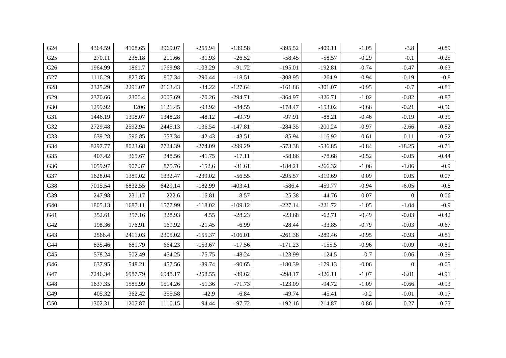| G24 | 4364.59 | 4108.65 | 3969.07 | $-255.94$ | $-139.58$ | $-395.52$ | $-409.11$ | $-1.05$ | $-3.8$         | $-0.89$  |
|-----|---------|---------|---------|-----------|-----------|-----------|-----------|---------|----------------|----------|
| G25 | 270.11  | 238.18  | 211.66  | $-31.93$  | $-26.52$  | $-58.45$  | $-58.57$  | $-0.29$ | $-0.1$         | $-0.25$  |
| G26 | 1964.99 | 1861.7  | 1769.98 | $-103.29$ | $-91.72$  | $-195.01$ | $-192.81$ | $-0.74$ | $-0.47$        | $-0.63$  |
| G27 | 1116.29 | 825.85  | 807.34  | $-290.44$ | $-18.51$  | $-308.95$ | $-264.9$  | $-0.94$ | $-0.19$        | $-0.8$   |
| G28 | 2325.29 | 2291.07 | 2163.43 | $-34.22$  | $-127.64$ | $-161.86$ | $-301.07$ | $-0.95$ | $-0.7$         | $-0.81$  |
| G29 | 2370.66 | 2300.4  | 2005.69 | $-70.26$  | $-294.71$ | $-364.97$ | $-326.71$ | $-1.02$ | $-0.82$        | $-0.87$  |
| G30 | 1299.92 | 1206    | 1121.45 | $-93.92$  | $-84.55$  | $-178.47$ | $-153.02$ | $-0.66$ | $-0.21$        | $-0.56$  |
| G31 | 1446.19 | 1398.07 | 1348.28 | $-48.12$  | $-49.79$  | $-97.91$  | $-88.21$  | $-0.46$ | $-0.19$        | $-0.39$  |
| G32 | 2729.48 | 2592.94 | 2445.13 | $-136.54$ | $-147.81$ | $-284.35$ | $-200.24$ | $-0.97$ | $-2.66$        | $-0.82$  |
| G33 | 639.28  | 596.85  | 553.34  | $-42.43$  | $-43.51$  | $-85.94$  | $-116.92$ | $-0.61$ | $-0.11$        | $-0.52$  |
| G34 | 8297.77 | 8023.68 | 7724.39 | $-274.09$ | $-299.29$ | $-573.38$ | $-536.85$ | $-0.84$ | $-18.25$       | $-0.71$  |
| G35 | 407.42  | 365.67  | 348.56  | $-41.75$  | $-17.11$  | $-58.86$  | $-78.68$  | $-0.52$ | $-0.05$        | $-0.44$  |
| G36 | 1059.97 | 907.37  | 875.76  | $-152.6$  | $-31.61$  | $-184.21$ | $-266.32$ | $-1.06$ | $-1.06$        | $-0.9$   |
| G37 | 1628.04 | 1389.02 | 1332.47 | $-239.02$ | $-56.55$  | $-295.57$ | $-319.69$ | 0.09    | 0.05           | $0.07\,$ |
| G38 | 7015.54 | 6832.55 | 6429.14 | $-182.99$ | $-403.41$ | $-586.4$  | $-459.77$ | $-0.94$ | $-6.05$        | $-0.8$   |
| G39 | 247.98  | 231.17  | 222.6   | $-16.81$  | $-8.57$   | $-25.38$  | $-44.76$  | 0.07    | $\overline{0}$ | 0.06     |
| G40 | 1805.13 | 1687.11 | 1577.99 | $-118.02$ | $-109.12$ | $-227.14$ | $-221.72$ | $-1.05$ | $-1.04$        | $-0.9$   |
| G41 | 352.61  | 357.16  | 328.93  | 4.55      | $-28.23$  | $-23.68$  | $-62.71$  | $-0.49$ | $-0.03$        | $-0.42$  |
| G42 | 198.36  | 176.91  | 169.92  | $-21.45$  | $-6.99$   | $-28.44$  | $-33.85$  | $-0.79$ | $-0.03$        | $-0.67$  |
| G43 | 2566.4  | 2411.03 | 2305.02 | $-155.37$ | $-106.01$ | $-261.38$ | $-289.46$ | $-0.95$ | $-0.93$        | $-0.81$  |
| G44 | 835.46  | 681.79  | 664.23  | $-153.67$ | $-17.56$  | $-171.23$ | $-155.5$  | $-0.96$ | $-0.09$        | $-0.81$  |
| G45 | 578.24  | 502.49  | 454.25  | $-75.75$  | $-48.24$  | $-123.99$ | $-124.5$  | $-0.7$  | $-0.06$        | $-0.59$  |
| G46 | 637.95  | 548.21  | 457.56  | $-89.74$  | $-90.65$  | $-180.39$ | $-179.13$ | $-0.06$ | $\overline{0}$ | $-0.05$  |
| G47 | 7246.34 | 6987.79 | 6948.17 | $-258.55$ | $-39.62$  | $-298.17$ | $-326.11$ | $-1.07$ | $-6.01$        | $-0.91$  |
| G48 | 1637.35 | 1585.99 | 1514.26 | $-51.36$  | $-71.73$  | $-123.09$ | $-94.72$  | $-1.09$ | $-0.66$        | $-0.93$  |
| G49 | 405.32  | 362.42  | 355.58  | $-42.9$   | $-6.84$   | $-49.74$  | $-45.41$  | $-0.2$  | $-0.01$        | $-0.17$  |
| G50 | 1302.31 | 1207.87 | 1110.15 | $-94.44$  | $-97.72$  | $-192.16$ | $-214.87$ | $-0.86$ | $-0.27$        | $-0.73$  |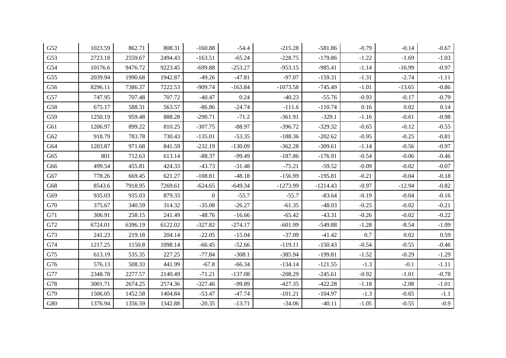| G52         | 1023.59 | 862.71  | 808.31  | $-160.88$      | $-54.4$   | $-215.28$  | $-581.86$  | $-0.79$ | $-0.14$  | $-0.67$ |
|-------------|---------|---------|---------|----------------|-----------|------------|------------|---------|----------|---------|
| G53         | 2723.18 | 2559.67 | 2494.43 | $-163.51$      | $-65.24$  | $-228.75$  | $-179.86$  | $-1.22$ | $-1.69$  | $-1.03$ |
| G54         | 10176.6 | 9476.72 | 9223.45 | $-699.88$      | $-253.27$ | $-953.15$  | $-985.41$  | $-1.14$ | $-16.99$ | $-0.97$ |
| G55         | 2039.94 | 1990.68 | 1942.87 | $-49.26$       | $-47.81$  | $-97.07$   | $-159.31$  | $-1.31$ | $-2.74$  | $-1.11$ |
| G56         | 8296.11 | 7386.37 | 7222.53 | $-909.74$      | $-163.84$ | $-1073.58$ | $-745.49$  | $-1.01$ | $-13.65$ | $-0.86$ |
| G57         | 747.95  | 707.48  | 707.72  | $-40.47$       | 0.24      | $-40.23$   | $-55.76$   | $-0.93$ | $-0.17$  | $-0.79$ |
| G58         | 675.17  | 588.31  | 563.57  | $-86.86$       | $-24.74$  | $-111.6$   | $-110.74$  | 0.16    | 0.02     | 0.14    |
| G59         | 1250.19 | 959.48  | 888.28  | $-290.71$      | $-71.2$   | $-361.91$  | $-329.1$   | $-1.16$ | $-0.61$  | $-0.98$ |
| G61         | 1206.97 | 899.22  | 810.25  | $-307.75$      | $-88.97$  | $-396.72$  | $-329.32$  | $-0.65$ | $-0.12$  | $-0.55$ |
| G62         | 918.79  | 783.78  | 730.43  | $-135.01$      | $-53.35$  | $-188.36$  | $-202.62$  | $-0.95$ | $-0.25$  | $-0.81$ |
| G64         | 1203.87 | 971.68  | 841.59  | $-232.19$      | $-130.09$ | $-362.28$  | $-309.61$  | $-1.14$ | $-0.56$  | $-0.97$ |
| G65         | 801     | 712.63  | 613.14  | $-88.37$       | $-99.49$  | $-187.86$  | $-176.91$  | $-0.54$ | $-0.06$  | $-0.46$ |
| G66         | 499.54  | 455.81  | 424.33  | $-43.73$       | $-31.48$  | $-75.21$   | $-59.52$   | $-0.09$ | $-0.02$  | $-0.07$ |
| G67         | 778.26  | 669.45  | 621.27  | $-108.81$      | $-48.18$  | $-156.99$  | $-195.81$  | $-0.21$ | $-0.04$  | $-0.18$ |
| G68         | 8543.6  | 7918.95 | 7269.61 | $-624.65$      | $-649.34$ | $-1273.99$ | $-1214.43$ | $-0.97$ | $-12.94$ | $-0.82$ |
| G69         | 935.03  | 935.03  | 879.33  | $\overline{0}$ | $-55.7$   | $-55.7$    | $-83.64$   | $-0.19$ | $-0.04$  | $-0.16$ |
| ${\rm G70}$ | 375.67  | 340.59  | 314.32  | $-35.08$       | $-26.27$  | $-61.35$   | $-48.03$   | $-0.25$ | $-0.02$  | $-0.21$ |
| G71         | 306.91  | 258.15  | 241.49  | $-48.76$       | $-16.66$  | $-65.42$   | $-43.31$   | $-0.26$ | $-0.02$  | $-0.22$ |
| G72         | 6724.01 | 6396.19 | 6122.02 | $-327.82$      | $-274.17$ | $-601.99$  | $-549.88$  | $-1.28$ | $-8.54$  | $-1.09$ |
| G73         | 241.23  | 219.18  | 204.14  | $-22.05$       | $-15.04$  | $-37.09$   | $-41.42$   | 0.7     | 0.02     | 0.59    |
| G74         | 1217.25 | 1150.8  | 1098.14 | $-66.45$       | $-52.66$  | $-119.11$  | $-150.43$  | $-0.54$ | $-0.55$  | $-0.46$ |
| G75         | 613.19  | 535.35  | 227.25  | $-77.84$       | $-308.1$  | $-385.94$  | $-199.81$  | $-1.52$ | $-0.29$  | $-1.29$ |
| ${\rm G76}$ | 576.13  | 508.33  | 441.99  | $-67.8$        | $-66.34$  | $-134.14$  | $-121.55$  | $-1.3$  | $-0.1$   | $-1.11$ |
| G77         | 2348.78 | 2277.57 | 2140.49 | $-71.21$       | $-137.08$ | $-208.29$  | $-245.61$  | $-0.92$ | $-1.01$  | $-0.78$ |
| G78         | 3001.71 | 2674.25 | 2574.36 | $-327.46$      | $-99.89$  | $-427.35$  | $-422.28$  | $-1.18$ | $-2.08$  | $-1.01$ |
| G79         | 1506.05 | 1452.58 | 1404.84 | $-53.47$       | $-47.74$  | $-101.21$  | $-104.97$  | $-1.3$  | $-0.65$  | $-1.1$  |
| ${\rm G}80$ | 1376.94 | 1356.59 | 1342.88 | $-20.35$       | $-13.71$  | $-34.06$   | $-40.11$   | $-1.05$ | $-0.55$  | $-0.9$  |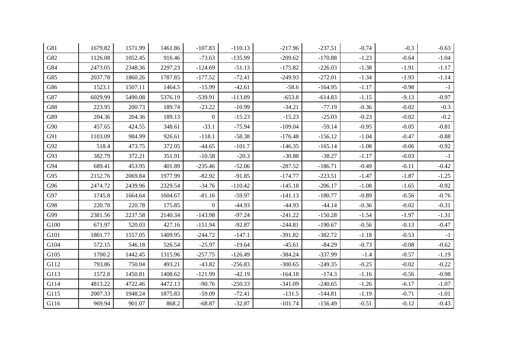| G81  | 1679.82 | 1571.99 | 1461.86 | $-107.83$      | $-110.13$ | $-217.96$ | $-237.51$ | $-0.74$ | $-0.3$  | $-0.63$ |
|------|---------|---------|---------|----------------|-----------|-----------|-----------|---------|---------|---------|
| G82  | 1126.08 | 1052.45 | 916.46  | $-73.63$       | $-135.99$ | $-209.62$ | $-170.88$ | $-1.23$ | $-0.64$ | $-1.04$ |
| G84  | 2473.05 | 2348.36 | 2297.23 | $-124.69$      | $-51.13$  | $-175.82$ | $-226.03$ | $-1.38$ | $-1.91$ | $-1.17$ |
| G85  | 2037.78 | 1860.26 | 1787.85 | $-177.52$      | $-72.41$  | $-249.93$ | $-272.01$ | $-1.34$ | $-1.93$ | $-1.14$ |
| G86  | 1523.1  | 1507.11 | 1464.5  | $-15.99$       | $-42.61$  | $-58.6$   | $-164.95$ | $-1.17$ | $-0.98$ | $-1$    |
| G87  | 6029.99 | 5490.08 | 5376.19 | -539.91        | $-113.89$ | $-653.8$  | $-614.83$ | $-1.15$ | $-9.13$ | $-0.97$ |
| G88  | 223.95  | 200.73  | 189.74  | $-23.22$       | $-10.99$  | $-34.21$  | $-77.19$  | $-0.36$ | $-0.02$ | $-0.3$  |
| G89  | 204.36  | 204.36  | 189.13  | $\Omega$       | $-15.23$  | $-15.23$  | $-25.03$  | $-0.23$ | $-0.02$ | $-0.2$  |
| G90  | 457.65  | 424.55  | 348.61  | $-33.1$        | $-75.94$  | $-109.04$ | $-59.14$  | $-0.95$ | $-0.05$ | $-0.81$ |
| G91  | 1103.09 | 984.99  | 926.61  | $-118.1$       | $-58.38$  | $-176.48$ | $-156.12$ | $-1.04$ | $-0.47$ | $-0.88$ |
| G92  | 518.4   | 473.75  | 372.05  | $-44.65$       | $-101.7$  | $-146.35$ | $-165.14$ | $-1.08$ | $-0.06$ | $-0.92$ |
| G93  | 382.79  | 372.21  | 351.91  | $-10.58$       | $-20.3$   | $-30.88$  | $-38.27$  | $-1.17$ | $-0.03$ | $-1$    |
| G94  | 689.41  | 453.95  | 401.89  | $-235.46$      | $-52.06$  | $-287.52$ | $-186.71$ | $-0.49$ | $-0.11$ | $-0.42$ |
| G95  | 2152.76 | 2069.84 | 1977.99 | $-82.92$       | $-91.85$  | $-174.77$ | $-223.51$ | $-1.47$ | $-1.87$ | $-1.25$ |
| G96  | 2474.72 | 2439.96 | 2329.54 | $-34.76$       | $-110.42$ | $-145.18$ | $-206.17$ | $-1.08$ | $-1.65$ | $-0.92$ |
| G97  | 1745.8  | 1664.64 | 1604.67 | $-81.16$       | $-59.97$  | $-141.13$ | $-180.77$ | $-0.89$ | $-0.56$ | $-0.76$ |
| G98  | 220.78  | 220.78  | 175.85  | $\overline{0}$ | $-44.93$  | $-44.93$  | $-44.14$  | $-0.36$ | $-0.02$ | $-0.31$ |
| G99  | 2381.56 | 2237.58 | 2140.34 | $-143.98$      | $-97.24$  | $-241.22$ | $-150.28$ | $-1.54$ | $-1.97$ | $-1.31$ |
| G100 | 671.97  | 520.03  | 427.16  | $-151.94$      | $-92.87$  | $-244.81$ | $-190.67$ | $-0.56$ | $-0.13$ | $-0.47$ |
| G101 | 1801.77 | 1557.05 | 1409.95 | $-244.72$      | $-147.1$  | $-391.82$ | $-382.72$ | $-1.18$ | $-0.53$ | $-1$    |
| G104 | 572.15  | 546.18  | 526.54  | $-25.97$       | $-19.64$  | $-45.61$  | $-84.29$  | $-0.73$ | $-0.08$ | $-0.62$ |
| G105 | 1700.2  | 1442.45 | 1315.96 | $-257.75$      | $-126.49$ | $-384.24$ | $-337.99$ | $-1.4$  | $-0.57$ | $-1.19$ |
| G112 | 793.86  | 750.04  | 493.21  | $-43.82$       | $-256.83$ | $-300.65$ | $-249.35$ | $-0.25$ | $-0.02$ | $-0.22$ |
| G113 | 1572.8  | 1450.81 | 1408.62 | $-121.99$      | $-42.19$  | $-164.18$ | $-174.3$  | $-1.16$ | $-0.56$ | $-0.98$ |
| G114 | 4813.22 | 4722.46 | 4472.13 | $-90.76$       | $-250.33$ | $-341.09$ | $-240.65$ | $-1.26$ | $-6.17$ | $-1.07$ |
| G115 | 2007.33 | 1948.24 | 1875.83 | $-59.09$       | $-72.41$  | $-131.5$  | $-144.81$ | $-1.19$ | $-0.71$ | $-1.01$ |
| G116 | 969.94  | 901.07  | 868.2   | $-68.87$       | $-32.87$  | $-101.74$ | $-156.49$ | $-0.51$ | $-0.12$ | $-0.43$ |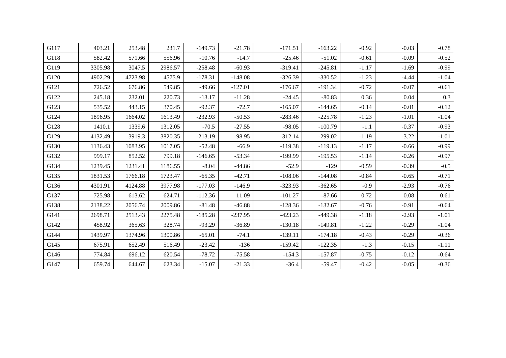| G117 | 403.21  | 253.48  | 231.7   | $-149.73$ | $-21.78$  | $-171.51$ | $-163.22$ | $-0.92$ | $-0.03$ | $-0.78$ |
|------|---------|---------|---------|-----------|-----------|-----------|-----------|---------|---------|---------|
| G118 | 582.42  | 571.66  | 556.96  | $-10.76$  | $-14.7$   | $-25.46$  | $-51.02$  | $-0.61$ | $-0.09$ | $-0.52$ |
| G119 | 3305.98 | 3047.5  | 2986.57 | $-258.48$ | $-60.93$  | $-319.41$ | $-245.81$ | $-1.17$ | $-1.69$ | $-0.99$ |
| G120 | 4902.29 | 4723.98 | 4575.9  | $-178.31$ | $-148.08$ | $-326.39$ | $-330.52$ | $-1.23$ | $-4.44$ | $-1.04$ |
| G121 | 726.52  | 676.86  | 549.85  | $-49.66$  | $-127.01$ | $-176.67$ | $-191.34$ | $-0.72$ | $-0.07$ | $-0.61$ |
| G122 | 245.18  | 232.01  | 220.73  | $-13.17$  | $-11.28$  | $-24.45$  | $-80.83$  | 0.36    | 0.04    | 0.3     |
| G123 | 535.52  | 443.15  | 370.45  | $-92.37$  | $-72.7$   | $-165.07$ | $-144.65$ | $-0.14$ | $-0.01$ | $-0.12$ |
| G124 | 1896.95 | 1664.02 | 1613.49 | $-232.93$ | $-50.53$  | $-283.46$ | $-225.78$ | $-1.23$ | $-1.01$ | $-1.04$ |
| G128 | 1410.1  | 1339.6  | 1312.05 | $-70.5$   | $-27.55$  | $-98.05$  | $-100.79$ | $-1.1$  | $-0.37$ | $-0.93$ |
| G129 | 4132.49 | 3919.3  | 3820.35 | $-213.19$ | $-98.95$  | $-312.14$ | $-299.02$ | $-1.19$ | $-3.22$ | $-1.01$ |
| G130 | 1136.43 | 1083.95 | 1017.05 | $-52.48$  | $-66.9$   | $-119.38$ | $-119.13$ | $-1.17$ | $-0.66$ | $-0.99$ |
| G132 | 999.17  | 852.52  | 799.18  | $-146.65$ | $-53.34$  | $-199.99$ | $-195.53$ | $-1.14$ | $-0.26$ | $-0.97$ |
| G134 | 1239.45 | 1231.41 | 1186.55 | $-8.04$   | $-44.86$  | $-52.9$   | $-129$    | $-0.59$ | $-0.39$ | $-0.5$  |
| G135 | 1831.53 | 1766.18 | 1723.47 | $-65.35$  | $-42.71$  | $-108.06$ | $-144.08$ | $-0.84$ | $-0.65$ | $-0.71$ |
| G136 | 4301.91 | 4124.88 | 3977.98 | $-177.03$ | $-146.9$  | $-323.93$ | $-362.65$ | $-0.9$  | $-2.93$ | $-0.76$ |
| G137 | 725.98  | 613.62  | 624.71  | $-112.36$ | 11.09     | $-101.27$ | $-87.66$  | 0.72    | 0.08    | 0.61    |
| G138 | 2138.22 | 2056.74 | 2009.86 | $-81.48$  | $-46.88$  | $-128.36$ | $-132.67$ | $-0.76$ | $-0.91$ | $-0.64$ |
| G141 | 2698.71 | 2513.43 | 2275.48 | $-185.28$ | $-237.95$ | $-423.23$ | $-449.38$ | $-1.18$ | $-2.93$ | $-1.01$ |
| G142 | 458.92  | 365.63  | 328.74  | $-93.29$  | $-36.89$  | $-130.18$ | $-149.81$ | $-1.22$ | $-0.29$ | $-1.04$ |
| G144 | 1439.97 | 1374.96 | 1300.86 | $-65.01$  | $-74.1$   | $-139.11$ | $-174.18$ | $-0.43$ | $-0.29$ | $-0.36$ |
| G145 | 675.91  | 652.49  | 516.49  | $-23.42$  | $-136$    | $-159.42$ | $-122.35$ | $-1.3$  | $-0.15$ | $-1.11$ |
| G146 | 774.84  | 696.12  | 620.54  | $-78.72$  | $-75.58$  | $-154.3$  | $-157.87$ | $-0.75$ | $-0.12$ | $-0.64$ |
| G147 | 659.74  | 644.67  | 623.34  | $-15.07$  | $-21.33$  | $-36.4$   | $-59.47$  | $-0.42$ | $-0.05$ | $-0.36$ |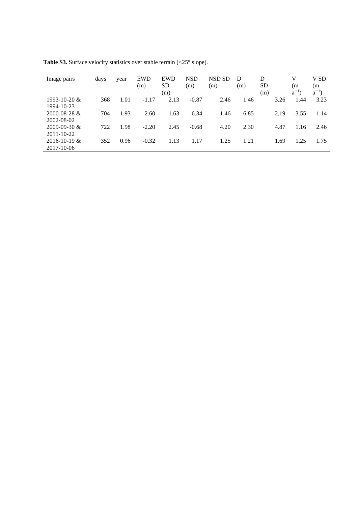| Image pairs        | days | year | <b>EWD</b><br>(m) | <b>EWD</b><br><b>SD</b> | <b>NSD</b><br>(m) | NSD SD<br>(m) | D<br>(m) | D<br><b>SD</b> |      | v<br>(m    | V SD<br>(m |
|--------------------|------|------|-------------------|-------------------------|-------------------|---------------|----------|----------------|------|------------|------------|
|                    |      |      |                   | (m)                     |                   |               |          | (m)            |      | $a^{-1}$ ) | $a^{-1}$ ) |
| 1993-10-20 $&$     | 368  | 1.01 | $-1.17$           | 2.13                    | $-0.87$           | 2.46          | 1.46     |                | 3.26 | 1.44       | 3.23       |
| 1994-10-23         |      |      |                   |                         |                   |               |          |                |      |            |            |
| 2000-08-28 &       | 704  | 1.93 | 2.60              | 1.63                    | $-6.34$           | 1.46          | 6.85     |                | 2.19 | 3.55       | 1.14       |
| 2002-08-02         |      |      |                   |                         |                   |               |          |                |      |            |            |
| $2009 - 09 - 30$ & | 722  | 1.98 | $-2.20$           | 2.45                    | $-0.68$           | 4.20          | 2.30     |                | 4.87 | 1.16       | 2.46       |
| 2011-10-22         |      |      |                   |                         |                   |               |          |                |      |            |            |
| $2016 - 10 - 19$ & | 352  | 0.96 | $-0.32$           | 1.13                    | 1.17              | 1.25          | .21      |                | 1.69 | 1.25       | 1.75       |
| 2017-10-06         |      |      |                   |                         |                   |               |          |                |      |            |            |

Table S3. Surface velocity statistics over stable terrain (<25° slope).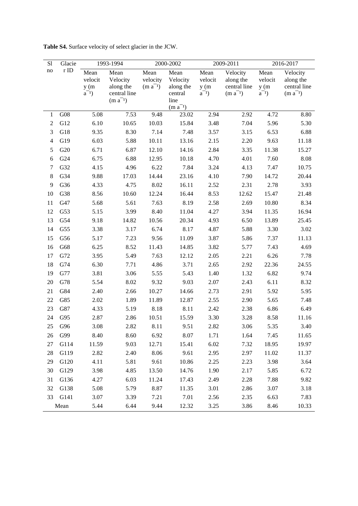| S1             | Glacie     |                                       | 1993-1994                                                     |                                  | 2000-2002                                        |                                       | 2009-2011                                             | 2016-2017                             |                                                       |
|----------------|------------|---------------------------------------|---------------------------------------------------------------|----------------------------------|--------------------------------------------------|---------------------------------------|-------------------------------------------------------|---------------------------------------|-------------------------------------------------------|
| no             | $\rm r$ ID | Mean<br>velocit<br>y(m)<br>$a^{-1}$ ) | Mean<br>Velocity<br>along the<br>central line<br>$(m a^{-1})$ | Mean<br>velocity<br>$(m a^{-1})$ | Mean<br>Velocity<br>along the<br>central<br>line | Mean<br>velocit<br>y(m)<br>$a^{-1}$ ) | Velocity<br>along the<br>central line<br>$(m a^{-1})$ | Mean<br>velocit<br>y(m)<br>$a^{-1}$ ) | Velocity<br>along the<br>central line<br>$(m a^{-1})$ |
| $\mathbf{1}$   | G08        | 5.08                                  | 7.53                                                          | 9.48                             | $(m a^{-1})$<br>23.02                            | 2.94                                  | 2.92                                                  | 4.72                                  | 8.80                                                  |
| $\mathbf{2}$   | G12        | 6.10                                  | 10.65                                                         | 10.03                            | 15.84                                            | 3.48                                  | 7.04                                                  | 5.96                                  | 5.30                                                  |
| 3              | G18        | 9.35                                  | 8.30                                                          | 7.14                             | 7.48                                             | 3.57                                  | 3.15                                                  | 6.53                                  | 6.88                                                  |
| $\overline{4}$ | G19        | 6.03                                  | 5.88                                                          | 10.11                            | 13.16                                            | 2.15                                  | 2.20                                                  | 9.63                                  | 11.18                                                 |
| 5              | G20        | 6.71                                  | 6.87                                                          | 12.10                            | 14.16                                            | 2.84                                  | 3.35                                                  | 11.38                                 | 15.27                                                 |
| 6              | G24        | 6.75                                  | 6.88                                                          | 12.95                            | 10.18                                            | 4.70                                  | 4.01                                                  | 7.60                                  | 8.08                                                  |
| $\tau$         | G32        | 4.15                                  | 4.96                                                          | 6.22                             | 7.84                                             | 3.24                                  | 4.13                                                  | 7.47                                  | 10.75                                                 |
| $8\,$          | G34        | 9.88                                  | 17.03                                                         | 14.44                            | 23.16                                            | 4.10                                  | 7.90                                                  | 14.72                                 | 20.44                                                 |
| 9              | G36        | 4.33                                  | 4.75                                                          | 8.02                             | 16.11                                            | 2.52                                  | 2.31                                                  | 2.78                                  | 3.93                                                  |
| 10             | G38        | 8.56                                  | 10.60                                                         | 12.24                            | 16.44                                            | 8.53                                  | 12.62                                                 | 15.47                                 | 21.48                                                 |
| 11             | G47        | 5.68                                  | 5.61                                                          | 7.63                             | 8.19                                             | 2.58                                  | 2.69                                                  | 10.80                                 | 8.34                                                  |
| 12             | G53        | 5.15                                  | 3.99                                                          | 8.40                             | 11.04                                            | 4.27                                  | 3.94                                                  | 11.35                                 | 16.94                                                 |
| 13             | G54        | 9.18                                  | 14.82                                                         | 10.56                            | 20.34                                            | 4.93                                  | 6.50                                                  | 13.89                                 | 25.45                                                 |
| 14             | G55        | 3.38                                  | 3.17                                                          | 6.74                             | 8.17                                             | 4.87                                  | 5.88                                                  | 3.30                                  | 3.02                                                  |
| 15             | G56        | 5.17                                  | 7.23                                                          | 9.56                             | 11.09                                            | 3.87                                  | 5.86                                                  | 7.37                                  | 11.13                                                 |
| 16             | G68        | 6.25                                  | 8.52                                                          | 11.43                            | 14.85                                            | 3.82                                  | 5.77                                                  | 7.43                                  | 4.69                                                  |
| 17             | G72        | 3.95                                  | 5.49                                                          | 7.63                             | 12.12                                            | 2.05                                  | 2.21                                                  | 6.26                                  | 7.78                                                  |
| 18             | G74        | 6.30                                  | 7.71                                                          | 4.86                             | 3.71                                             | 2.65                                  | 2.92                                                  | 22.36                                 | 24.55                                                 |
| 19             | G77        | 3.81                                  | 3.06                                                          | 5.55                             | 5.43                                             | 1.40                                  | 1.32                                                  | 6.82                                  | 9.74                                                  |
| 20             | G78        | 5.54                                  | 8.02                                                          | 9.32                             | 9.03                                             | 2.07                                  | 2.43                                                  | 6.11                                  | 8.32                                                  |
| 21             | G84        | 2.40                                  | 2.66                                                          | 10.27                            | 14.66                                            | 2.73                                  | 2.91                                                  | 5.92                                  | 5.95                                                  |
| 22             | G85        | 2.02                                  | 1.89                                                          | 11.89                            | 12.87                                            | 2.55                                  | 2.90                                                  | 5.65                                  | 7.48                                                  |
| 23             | G87        | 4.33                                  | 5.19                                                          | 8.18                             | 8.11                                             | 2.42                                  | 2.38                                                  | 6.86                                  | 6.49                                                  |
| 24             | G95        | 2.87                                  | 2.86                                                          | 10.51                            | 15.59                                            | 3.30                                  | 3.28                                                  | 8.58                                  | 11.16                                                 |
| 25             | G96        | 3.08                                  | 2.82                                                          | 8.11                             | 9.51                                             | 2.82                                  | 3.06                                                  | 5.35                                  | 3.40                                                  |
|                | 26 G99     | 8.40                                  | 8.60                                                          | 6.92                             | 8.07                                             | 1.71                                  | 1.64                                                  | 7.45                                  | 11.65                                                 |
| 27             | G114       | 11.59                                 | 9.03                                                          | 12.71                            | 15.41                                            | 6.02                                  | 7.32                                                  | 18.95                                 | 19.97                                                 |
| 28             | G119       | 2.82                                  | 2.40                                                          | 8.06                             | 9.61                                             | 2.95                                  | 2.97                                                  | 11.02                                 | 11.37                                                 |
| 29             | G120       | 4.11                                  | 5.81                                                          | 9.61                             | 10.86                                            | 2.25                                  | 2.23                                                  | 3.98                                  | 3.64                                                  |
| 30             | G129       | 3.98                                  | 4.85                                                          | 13.50                            | 14.76                                            | 1.90                                  | 2.17                                                  | 5.85                                  | 6.72                                                  |
| 31             | G136       | 4.27                                  | 6.03                                                          | 11.24                            | 17.43                                            | 2.49                                  | 2.28                                                  | 7.88                                  | 9.82                                                  |
| 32             | G138       | 5.08                                  | 5.79                                                          | 8.87                             | 11.35                                            | 3.01                                  | 2.86                                                  | 3.07                                  | 3.18                                                  |
|                | 33 G141    | 3.07                                  | 3.39                                                          | 7.21                             | 7.01                                             | 2.56                                  | 2.35                                                  | 6.63                                  | 7.83                                                  |
|                | Mean       | 5.44                                  | 6.44                                                          | 9.44                             | 12.32                                            | 3.25                                  | 3.86                                                  | 8.46                                  | 10.33                                                 |

**Table S4.** Surface velocity of select glacier in the JCW.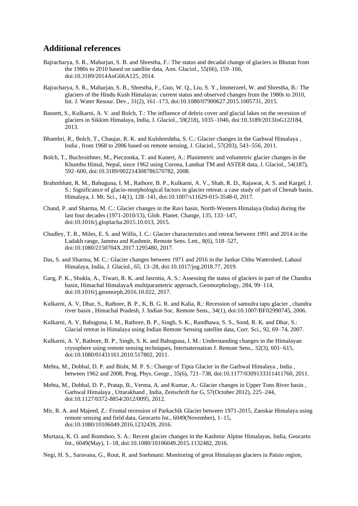## **Additional references**

- Bajracharya, S. R., Maharjan, S. B. and Shrestha, F.: The status and decadal change of glaciers in Bhutan from the 1980s to 2010 based on satellite data, Ann. Glaciol., 55(66), 159–166, doi:10.3189/2014AoG66A125, 2014.
- Bajracharya, S. R., Maharjan, S. B., Shrestha, F., Guo, W. Q., Liu, S. Y., Immerzeel, W. and Shrestha, B.: The glaciers of the Hindu Kush Himalayas: current status and observed changes from the 1980s to 2010, Int. J. Water Resour. Dev., 31(2), 161–173, doi:10.1080/07900627.2015.1005731, 2015.
- Basnett, S., Kulkarni, A. V. and Bolch, T.: The influence of debris cover and glacial lakes on the recession of glaciers in Sikkim Himalaya, India, J. Glaciol., 59(218), 1035–1046, doi:10.3189/2013JoG12J184, 2013.
- Bhambri, R., Bolch, T., Chaujar, R. K. and Kulshreshtha, S. C.: Glacier changes in the Garhwal Himalaya , India , from 1968 to 2006 based on remote sensing, J. Glaciol., 57(203), 543–556, 2011.
- Bolch, T., Buchroithner, M., Pieczonka, T. and Kunert, A.: Planimetric and volumetric glacier changes in the Khumbu Himal, Nepal, since 1962 using Corona, Landsat TM and ASTER data, J. Glaciol., 54(187), 592–600, doi:10.3189/002214308786570782, 2008.
- Brahmbhatt, R. M., Bahuguna, I. M., Rathore, B. P., Kulkarni, A. V., Shah, R. D., Rajawat, A. S. and Kargel, J. S.: Significance of glacio-morphological factors in glacier retreat: a case study of part of Chenab basin, Himalaya, J. Mt. Sci., 14(1), 128–141, doi:10.1007/s11629-015-3548-0, 2017.
- Chand, P. and Sharma, M. C.: Glacier changes in the Ravi basin, North-Western Himalaya (India) during the last four decades (1971-2010/13), Glob. Planet. Change, 135, 133–147, doi:10.1016/j.gloplacha.2015.10.013, 2015.
- Chudley, T. R., Miles, E. S. and Willis, I. C.: Glacier characteristics and retreat between 1991 and 2014 in the Ladakh range, Jammu and Kashmir, Remote Sens. Lett., 8(6), 518–527, doi:10.1080/2150704X.2017.1295480, 2017.
- Das, S. and Sharma, M. C.: Glacier changes between 1971 and 2016 in the Jankar Chhu Watershed, Lahaul Himalaya, India, J. Glaciol., 65, 13–28, doi:10.1017/jog.2018.77, 2019.
- Garg, P. K., Shukla, A., Tiwari, R. K. and Jasrotia, A. S.: Assessing the status of glaciers in part of the Chandra basin, Himachal HimalayaA multiparametric approach, Geomorphology, 284, 99–114, doi:10.1016/j.geomorph.2016.10.022, 2017.
- Kulkarni, A. V, Dhar, S., Rathore, B. P., K, B. G. R. and Kalia, R.: Recession of samudra tapu glacier , chandra river basin , Himachal Pradesh, J. Indian Soc. Remote Sens., 34(1), doi:10.1007/BF02990745, 2006.
- Kulkarni, A. V, Bahuguna, I. M., Rathore, B. P., Singh, S. K., Randhawa, S. S., Sood, R. K. and Dhar, S.: Glacial retreat in Himalaya using Indian Remote Sensing satellite data, Curr. Sci., 92, 69–74, 2007.
- Kulkarni, A. V, Rathore, B. P., Singh, S. K. and Bahuguna, I. M.: Understanding changes in the Himalayan cryosphere using remote sensing techniques, Internaternation J. Remote Sens., 32(3), 601–615, doi:10.1080/01431161.2010.517802, 2011.
- Mehta, M., Dobhal, D. P. and Bisht, M. P. S.: Change of Tipra Glacier in the Garhwal Himalaya , India , between 1962 and 2008, Prog. Phys. Geogr., 35(6), 721–738, doi:10.1177/0309133311411760, 2011.
- Mehta, M., Dobhal, D. P., Pratap, B., Verma, A. and Kumar, A.: Glacier changes in Upper Tons River basin , Garhwal Himalaya , Uttarakhand , India, Zeitschrift fur G, 57(October 2012), 225–244, doi:10.1127/0372-8854/2012/0095, 2012.
- Mir, R. A. and Majeed, Z.: Frontal recession of Parkachik Glacier between 1971-2015, Zanskar Himalaya using remote sensing and field data, Geocarto Int., 6049(November), 1–15, doi:10.1080/10106049.2016.1232439, 2016.
- Murtaza, K. O. and Romshoo, S. A.: Recent glacier changes in the Kashmir Alpine Himalayas, India, Geocarto Int., 6049(May), 1–18, doi:10.1080/10106049.2015.1132482, 2016.
- Negi, H. S., Saravana, G., Rout, R. and Snehmani: Monitoring of great Himalayan glaciers in Patsio region,